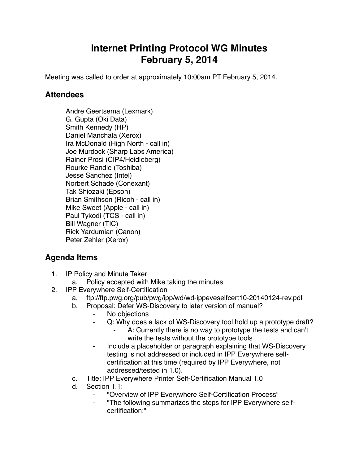## **Internet Printing Protocol WG Minutes February 5, 2014**

Meeting was called to order at approximately 10:00am PT February 5, 2014.

## **Attendees**

Andre Geertsema (Lexmark) G. Gupta (Oki Data) Smith Kennedy (HP) Daniel Manchala (Xerox) Ira McDonald (High North - call in) Joe Murdock (Sharp Labs America) Rainer Prosi (CIP4/Heidleberg) Rourke Randle (Toshiba) Jesse Sanchez (Intel) Norbert Schade (Conexant) Tak Shiozaki (Epson) Brian Smithson (Ricoh - call in) Mike Sweet (Apple - call in) Paul Tykodi (TCS - call in) Bill Wagner (TIC) Rick Yardumian (Canon) Peter Zehler (Xerox)

## **Agenda Items**

- 1. IP Policy and Minute Taker
	- a. Policy accepted with Mike taking the minutes
- 2. IPP Everywhere Self-Certification
	- a. ftp://ftp.pwg.org/pub/pwg/ipp/wd/wd-ippeveselfcert10-20140124-rev.pdf
	- b. Proposal: Defer WS-Discovery to later version of manual?
		- ⁃ No objections
		- Q: Why does a lack of WS-Discovery tool hold up a prototype draft?
			- A: Currently there is no way to prototype the tests and can't write the tests without the prototype tools
		- Include a placeholder or paragraph explaining that WS-Discovery testing is not addressed or included in IPP Everywhere selfcertification at this time (required by IPP Everywhere, not addressed/tested in 1.0).
	- c. Title: IPP Everywhere Printer Self-Certification Manual 1.0
	- d. Section 1.1:
		- ⁃ "Overview of IPP Everywhere Self-Certification Process"
		- ⁃ "The following summarizes the steps for IPP Everywhere selfcertification:"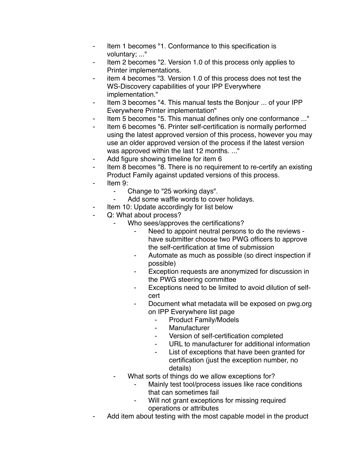- ⁃ Item 1 becomes "1. Conformance to this specification is voluntary; ..."
- Item 2 becomes "2. Version 1.0 of this process only applies to Printer implementations.
- item 4 becomes "3. Version 1.0 of this process does not test the WS-Discovery capabilities of your IPP Everywhere implementation."
- Item 3 becomes "4. This manual tests the Bonjour ... of your IPP Everywhere Printer implementation"
- ⁃ Item 5 becomes "5. This manual defines only one conformance ..."
- Item 6 becomes "6. Printer self-certification is normally performed using the latest approved version of this process, however you may use an older approved version of the process if the latest version was approved within the last 12 months. ..."
- Add figure showing timeline for item 6
- Item 8 becomes "8. There is no requirement to re-certify an existing Product Family against updated versions of this process.
- Item 9:
	- ⁃ Change to "25 working days".
	- Add some waffle words to cover holidays.
- Item 10: Update accordingly for list below
- Q: What about process?
	- Who sees/approves the certifications?
		- Need to appoint neutral persons to do the reviews have submitter choose two PWG officers to approve the self-certification at time of submission
		- ⁃ Automate as much as possible (so direct inspection if possible)
		- Exception requests are anonymized for discussion in the PWG steering committee
		- ⁃ Exceptions need to be limited to avoid dilution of selfcert
		- Document what metadata will be exposed on pwg.org on IPP Everywhere list page
			- Product Family/Models
			- **Manufacturer**
			- ⁃ Version of self-certification completed
			- URL to manufacturer for additional information
			- List of exceptions that have been granted for certification (just the exception number, no details)
		- What sorts of things do we allow exceptions for?
			- Mainly test tool/process issues like race conditions that can sometimes fail
			- Will not grant exceptions for missing required operations or attributes
- Add item about testing with the most capable model in the product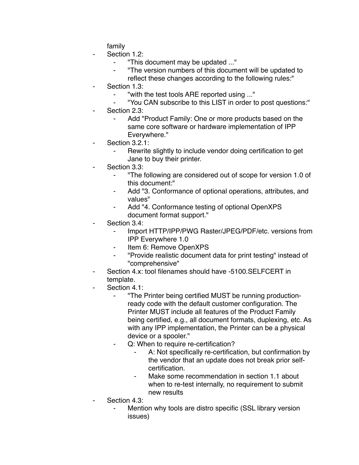family

- Section 1.2:
	- ⁃ "This document may be updated ..."
	- ⁃ "The version numbers of this document will be updated to
		- reflect these changes according to the following rules:"
- Section 1.3:
	- ⁃ "with the test tools ARE reported using ..."
	- ⁃ "You CAN subscribe to this LIST in order to post questions:"
- Section 2.3:
	- Add "Product Family: One or more products based on the same core software or hardware implementation of IPP Everywhere."
- Section 3.2.1:
	- Rewrite slightly to include vendor doing certification to get Jane to buy their printer.
- Section 3.3:
	- ⁃ "The following are considered out of scope for version 1.0 of this document:"
	- Add "3. Conformance of optional operations, attributes, and values"
	- ⁃ Add "4. Conformance testing of optional OpenXPS document format support."
- Section 3.4:
	- ⁃ Import HTTP/IPP/PWG Raster/JPEG/PDF/etc. versions from IPP Everywhere 1.0
	- Item 6: Remove OpenXPS
	- ⁃ "Provide realistic document data for print testing" instead of "comprehensive"
- Section 4.x: tool filenames should have -5100.SELFCERT in template.
- Section 4.1:
	- ⁃ "The Printer being certified MUST be running productionready code with the default customer configuration. The Printer MUST include all features of the Product Family being certified, e.g., all document formats, duplexing, etc. As with any IPP implementation, the Printer can be a physical device or a spooler."
	- ⁃ Q: When to require re-certification?
		- A: Not specifically re-certification, but confirmation by the vendor that an update does not break prior selfcertification.
		- Make some recommendation in section 1.1 about when to re-test internally, no requirement to submit new results
- Section 4.3:
	- Mention why tools are distro specific (SSL library version issues)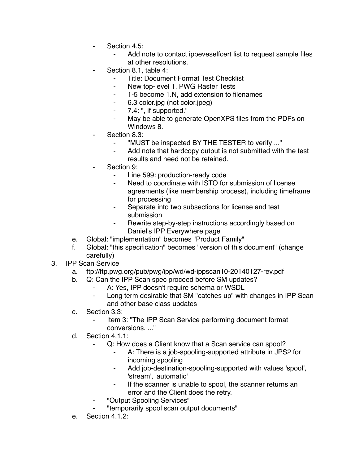- ⁃ Section 4.5:
	- Add note to contact ippeveselfcert list to request sample files at other resolutions.
- Section 8.1, table 4:
	- **Title: Document Format Test Checklist**
	- New top-level 1. PWG Raster Tests
	- ⁃ 1-5 become 1.N, add extension to filenames
	- ⁃ 6.3 color.jpg (not color.jpeg)
	- ⁃ 7.4: ", if supported."
	- ⁃ May be able to generate OpenXPS files from the PDFs on Windows 8.
- Section 8.3:
	- ⁃ "MUST be inspected BY THE TESTER to verify ..."
	- Add note that hardcopy output is not submitted with the test results and need not be retained.
- Section 9:
	- ⁃ Line 599: production-ready code
	- Need to coordinate with ISTO for submission of license agreements (like membership process), including timeframe for processing
	- Separate into two subsections for license and test submission
	- Rewrite step-by-step instructions accordingly based on Daniel's IPP Everywhere page
- e. Global: "implementation" becomes "Product Family"
- f. Global: "this specification" becomes "version of this document" (change carefully)
- 3. IPP Scan Service
	- a. ftp://ftp.pwg.org/pub/pwg/ipp/wd/wd-ippscan10-20140127-rev.pdf
	- b. Q: Can the IPP Scan spec proceed before SM updates?
		- A: Yes, IPP doesn't require schema or WSDL
		- Long term desirable that SM "catches up" with changes in IPP Scan and other base class updates
	- c. Section 3.3:
		- Item 3: "The IPP Scan Service performing document format conversions. ..."
	- d. Section 4.1.1:
		- Q: How does a Client know that a Scan service can spool?
			- A: There is a job-spooling-supported attribute in JPS2 for incoming spooling
			- ⁃ Add job-destination-spooling-supported with values 'spool', 'stream', 'automatic'
			- If the scanner is unable to spool, the scanner returns an error and the Client does the retry.
		- ⁃ "Output Spooling Services"
			- ⁃ "temporarily spool scan output documents"
	- e. Section 4.1.2: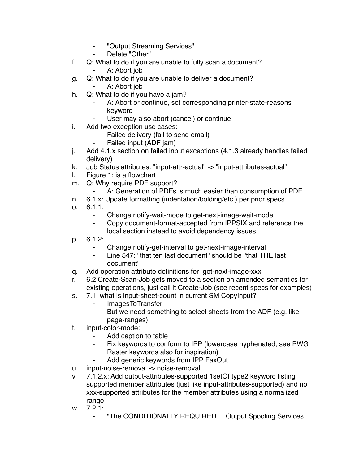- ⁃ "Output Streaming Services"
- Delete "Other"
- f. Q: What to do if you are unable to fully scan a document?
	- ⁃ A: Abort job
- g. Q: What to do if you are unable to deliver a document?
	- A: Abort job
- h. Q: What to do if you have a jam?
	- A: Abort or continue, set corresponding printer-state-reasons keyword
	- User may also abort (cancel) or continue
- i. Add two exception use cases:
	- Failed delivery (fail to send email)
	- Failed input (ADF jam)
- j. Add 4.1.x section on failed input exceptions (4.1.3 already handles failed delivery)
- k. Job Status attributes: "input-attr-actual" -> "input-attributes-actual"
- l. Figure 1: is a flowchart
- m. Q: Why require PDF support?
	- A: Generation of PDFs is much easier than consumption of PDF
- n. 6.1.x: Update formatting (indentation/bolding/etc.) per prior specs
- o. 6.1.1:
	- ⁃ Change notify-wait-mode to get-next-image-wait-mode
	- Copy document-format-accepted from IPPSIX and reference the local section instead to avoid dependency issues
- p. 6.1.2:
	- Change notify-get-interval to get-next-image-interval
	- ⁃ Line 547: "that ten last document" should be "that THE last document"
- q. Add operation attribute definitions for get-next-image-xxx
- r. 6.2 Create-Scan-Job gets moved to a section on amended semantics for existing operations, just call it Create-Job (see recent specs for examples)
- s. 7.1: what is input-sheet-count in current SM CopyInput?
	- **ImagesToTransfer**
	- ⁃ But we need something to select sheets from the ADF (e.g. like page-ranges)
- t. input-color-mode:
	- Add caption to table
	- Fix keywords to conform to IPP (lowercase hyphenated, see PWG Raster keywords also for inspiration)
	- Add generic keywords from IPP FaxOut
- u. input-noise-removal -> noise-removal
- v. 7.1.2.x: Add output-attributes-supported 1setOf type2 keyword listing supported member attributes (just like input-attributes-supported) and no xxx-supported attributes for the member attributes using a normalized range
- w. 7.2.1:
	- ⁃ "The CONDITIONALLY REQUIRED ... Output Spooling Services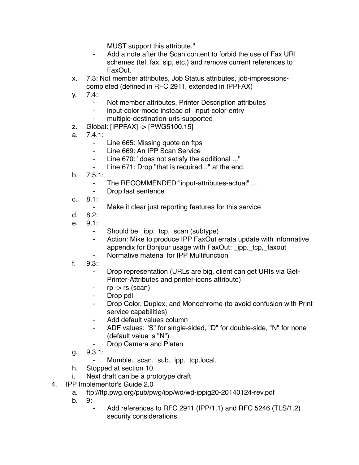MUST support this attribute."

- Add a note after the Scan content to forbid the use of Fax URI schemes (tel, fax, sip, etc.) and remove current references to FaxOut.
- x. 7.3: Not member attributes, Job Status attributes, job-impressionscompleted (defined in RFC 2911, extended in IPPFAX)
- y. 7.4:
	- ⁃ Not member attributes, Printer Description attributes
	- ⁃ input-color-mode instead of input-color-entry
	- ⁃ multiple-destination-uris-supported
- z. Global: [IPPFAX] -> [PWG5100.15]
- a.  $7.41$ 
	- Line 665: Missing quote on ftps
	- ⁃ Line 669: An IPP Scan Service
	- ⁃ Line 670: "does not satisfy the additional ..."
	- Line 671: Drop "that is required..." at the end.
- b. 7.5.1:
	- The RECOMMENDED "input-attributes-actual" ...
	- ⁃ Drop last sentence
- c. 8.1:
	- ⁃ Make it clear just reporting features for this service
- d. 8.2:
- e. 9.1:
	- ⁃ Should be \_ipp.\_tcp,\_scan (subtype)
	- ⁃ Action: Mike to produce IPP FaxOut errata update with informative appendix for Bonjour usage with FaxOut: ipp. tcp, faxout
	- Normative material for IPP Multifunction
- f. 9.3:
	- Drop representation (URLs are big, client can get URIs via Get-Printer-Attributes and printer-icons attribute)
	- $rp \rightarrow rs$  (scan)
	- ⁃ Drop pdl
	- Drop Color, Duplex, and Monochrome (to avoid confusion with Print service capabilities)
	- ⁃ Add default values column
	- ADF values: "S" for single-sided, "D" for double-side, "N" for none (default value is "N")
		- Drop Camera and Platen
- g. 9.3.1:
	- Mumble.\_scan.\_sub.\_ipp.\_tcp.local.
- h. Stopped at section 10.
- i. Next draft can be a prototype draft
- 4. IPP Implementor's Guide 2.0
	- a. ftp://ftp.pwg.org/pub/pwg/ipp/wd/wd-ippig20-20140124-rev.pdf
	- b. 9:
		- Add references to RFC 2911 (IPP/1.1) and RFC 5246 (TLS/1.2) security considerations.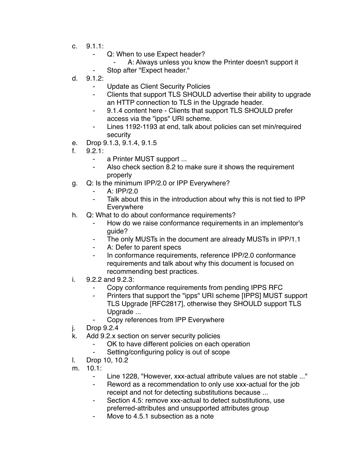- c. 9.1.1:
	- Q: When to use Expect header?
		- A: Always unless you know the Printer doesn't support it
	- Stop after "Expect header."
- d. 9.1.2:
	- Update as Client Security Policies
	- ⁃ Clients that support TLS SHOULD advertise their ability to upgrade an HTTP connection to TLS in the Upgrade header.
	- 9.1.4 content here Clients that support TLS SHOULD prefer access via the "ipps" URI scheme.
	- ⁃ Lines 1192-1193 at end, talk about policies can set min/required security
- e. Drop 9.1.3, 9.1.4, 9.1.5
- f. 9.2.1:
	- ⁃ a Printer MUST support ...
	- Also check section 8.2 to make sure it shows the requirement properly
- g. Q: Is the minimum IPP/2.0 or IPP Everywhere?
	- ⁃ A: IPP/2.0
	- ⁃ Talk about this in the introduction about why this is not tied to IPP **Everywhere**
- h. Q: What to do about conformance requirements?
	- How do we raise conformance requirements in an implementor's guide?
	- ⁃ The only MUSTs in the document are already MUSTs in IPP/1.1
	- A: Defer to parent specs
	- ⁃ In conformance requirements, reference IPP/2.0 conformance requirements and talk about why this document is focused on recommending best practices.
- i. 9.2.2 and 9.2.3:
	- Copy conformance requirements from pending IPPS RFC
	- Printers that support the "ipps" URI scheme [IPPS] MUST support TLS Upgrade [RFC2817], otherwise they SHOULD support TLS Upgrade ...
		- Copy references from IPP Everywhere
- j. Drop 9.2.4
- k. Add 9.2.x section on server security policies
	- OK to have different policies on each operation
	- ⁃ Setting/configuring policy is out of scope
- l. Drop 10, 10.2
- m. 10.1:
	- ⁃ Line 1228, "However, xxx-actual attribute values are not stable ..."
	- Reword as a recommendation to only use xxx-actual for the job receipt and not for detecting substitutions because ...
	- ⁃ Section 4.5: remove xxx-actual to detect substitutions, use preferred-attributes and unsupported attributes group
	- Move to 4.5.1 subsection as a note